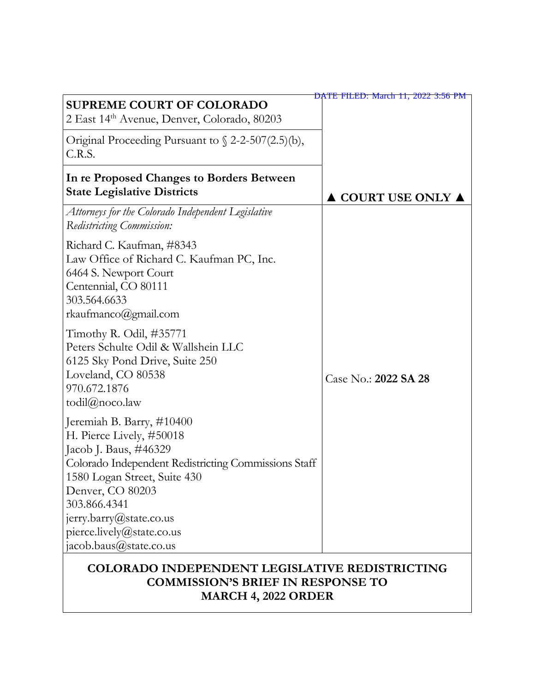| <b>SUPREME COURT OF COLORADO</b><br>2 East 14th Avenue, Denver, Colorado, 80203                                                                                                                                                                                                              | DATE FILED: March 11, 2022 3:56 PM |  |
|----------------------------------------------------------------------------------------------------------------------------------------------------------------------------------------------------------------------------------------------------------------------------------------------|------------------------------------|--|
| Original Proceeding Pursuant to $\sqrt{2}$ -2-507(2.5)(b),<br>C.R.S.                                                                                                                                                                                                                         |                                    |  |
| In re Proposed Changes to Borders Between<br><b>State Legislative Districts</b>                                                                                                                                                                                                              | COURT USE ONLY ▲                   |  |
| Attorneys for the Colorado Independent Legislative<br>Redistricting Commission:                                                                                                                                                                                                              |                                    |  |
| Richard C. Kaufman, #8343<br>Law Office of Richard C. Kaufman PC, Inc.<br>6464 S. Newport Court<br>Centennial, CO 80111<br>303.564.6633<br>rkaufmanco@gmail.com                                                                                                                              |                                    |  |
| Timothy R. Odil, #35771<br>Peters Schulte Odil & Wallshein LLC<br>6125 Sky Pond Drive, Suite 250<br>Loveland, CO 80538<br>970.672.1876<br>todil $@$ noco.law                                                                                                                                 | Case No.: 2022 SA 28               |  |
| Jeremiah B. Barry, #10400<br>H. Pierce Lively, #50018<br>Jacob J. Baus, #46329<br>Colorado Independent Redistricting Commissions Staff<br>1580 Logan Street, Suite 430<br>Denver, CO 80203<br>303.866.4341<br>jerry.barry@state.co.us<br>pierce.lively@state.co.us<br>jacob.baus@state.co.us |                                    |  |
| COLORADO INDEPENDENT LEGISLATIVE REDISTRICTING                                                                                                                                                                                                                                               |                                    |  |

# **COMMISSION'S BRIEF IN RESPONSE TO MARCH 4, 2022 ORDER**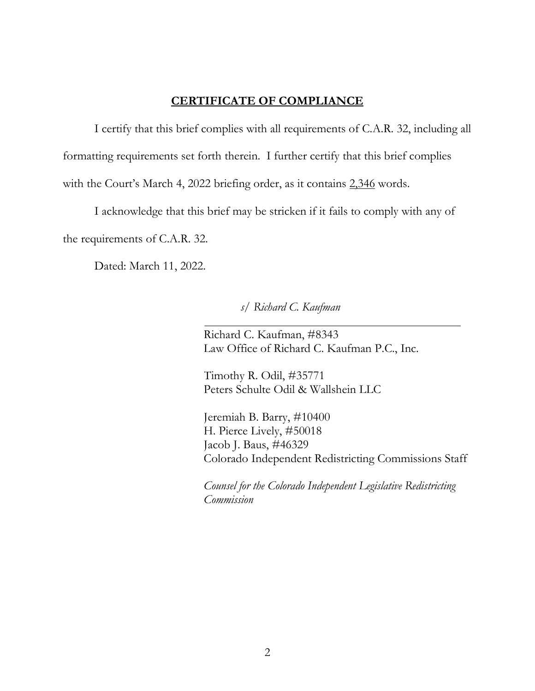### **CERTIFICATE OF COMPLIANCE**

I certify that this brief complies with all requirements of C.A.R. 32, including all formatting requirements set forth therein. I further certify that this brief complies with the Court's March 4, 2022 briefing order, as it contains 2,346 words.

I acknowledge that this brief may be stricken if it fails to comply with any of the requirements of C.A.R. 32.

Dated: March 11, 2022.

*s/ Richard C. Kaufman*

Richard C. Kaufman, #8343 Law Office of Richard C. Kaufman P.C., Inc.

Timothy R. Odil, #35771 Peters Schulte Odil & Wallshein LLC

Jeremiah B. Barry, #10400 H. Pierce Lively, #50018 Jacob J. Baus, #46329 Colorado Independent Redistricting Commissions Staff

*Counsel for the Colorado Independent Legislative Redistricting Commission*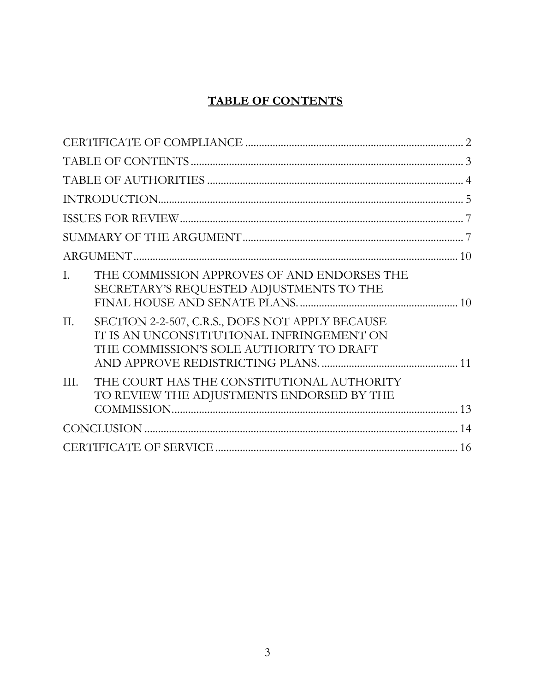## **TABLE OF CONTENTS**

| THE COMMISSION APPROVES OF AND ENDORSES THE<br>L.<br>SECRETARY'S REQUESTED ADJUSTMENTS TO THE                                                   |
|-------------------------------------------------------------------------------------------------------------------------------------------------|
| II.<br>SECTION 2-2-507, C.R.S., DOES NOT APPLY BECAUSE<br>IT IS AN UNCONSTITUTIONAL INFRINGEMENT ON<br>THE COMMISSION'S SOLE AUTHORITY TO DRAFT |
| THE COURT HAS THE CONSTITUTIONAL AUTHORITY<br>III.<br>TO REVIEW THE ADJUSTMENTS ENDORSED BY THE                                                 |
|                                                                                                                                                 |
|                                                                                                                                                 |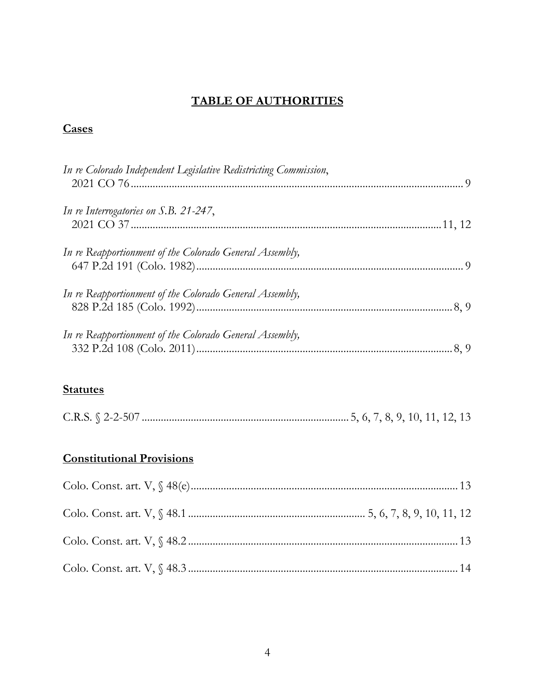## **TABLE OF AUTHORITIES**

## **Cases**

| In re Colorado Independent Legislative Redistricting Commission, |  |
|------------------------------------------------------------------|--|
| In re Interrogatories on S.B. 21-247,                            |  |
| In re Reapportionment of the Colorado General Assembly,          |  |
| In re Reapportionment of the Colorado General Assembly,          |  |
| In re Reapportionment of the Colorado General Assembly,          |  |

## **Statutes**

## **Constitutional Provisions**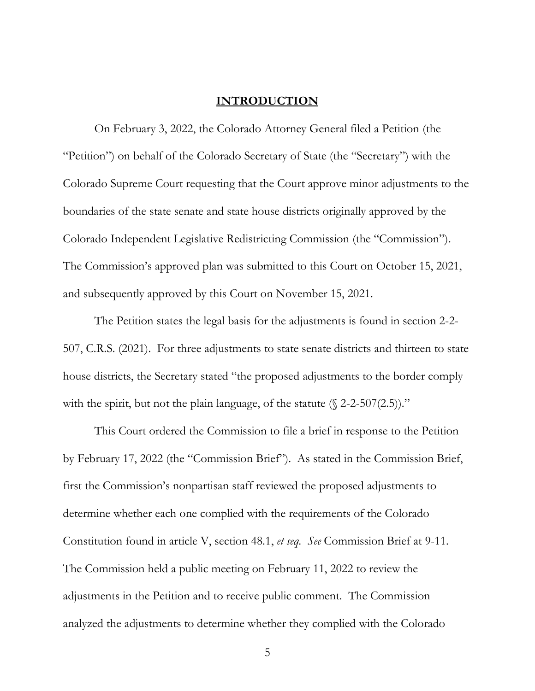#### **INTRODUCTION**

On February 3, 2022, the Colorado Attorney General filed a Petition (the "Petition") on behalf of the Colorado Secretary of State (the "Secretary") with the Colorado Supreme Court requesting that the Court approve minor adjustments to the boundaries of the state senate and state house districts originally approved by the Colorado Independent Legislative Redistricting Commission (the "Commission"). The Commission's approved plan was submitted to this Court on October 15, 2021, and subsequently approved by this Court on November 15, 2021.

The Petition states the legal basis for the adjustments is found in section 2-2- 507, C.R.S. (2021). For three adjustments to state senate districts and thirteen to state house districts, the Secretary stated "the proposed adjustments to the border comply with the spirit, but not the plain language, of the statute  $(\frac{2}{2} - 507(2.5))$ ."

This Court ordered the Commission to file a brief in response to the Petition by February 17, 2022 (the "Commission Brief"). As stated in the Commission Brief, first the Commission's nonpartisan staff reviewed the proposed adjustments to determine whether each one complied with the requirements of the Colorado Constitution found in article V, section 48.1, *et seq. See* Commission Brief at 9-11. The Commission held a public meeting on February 11, 2022 to review the adjustments in the Petition and to receive public comment. The Commission analyzed the adjustments to determine whether they complied with the Colorado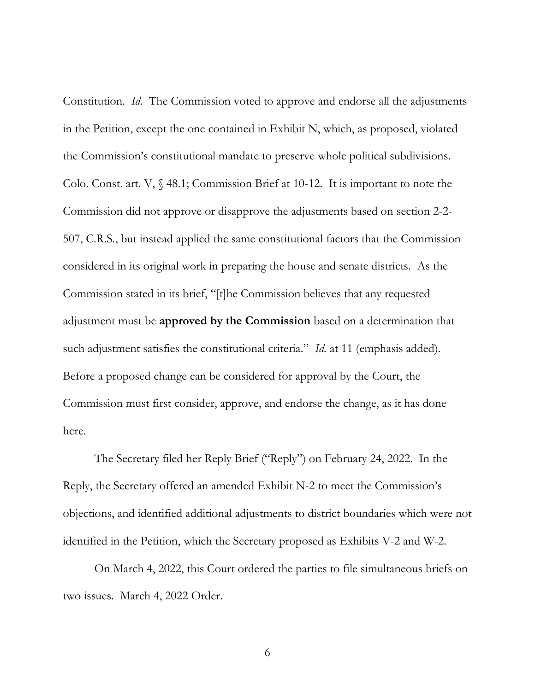Constitution. *Id.* The Commission voted to approve and endorse all the adjustments in the Petition, except the one contained in Exhibit N, which, as proposed, violated the Commission's constitutional mandate to preserve whole political subdivisions. Colo. Const. art. V, § 48.1; Commission Brief at 10-12. It is important to note the Commission did not approve or disapprove the adjustments based on section 2-2- 507, C.R.S., but instead applied the same constitutional factors that the Commission considered in its original work in preparing the house and senate districts. As the Commission stated in its brief, "[t]he Commission believes that any requested adjustment must be **approved by the Commission** based on a determination that such adjustment satisfies the constitutional criteria." *Id.* at 11 (emphasis added). Before a proposed change can be considered for approval by the Court, the Commission must first consider, approve, and endorse the change, as it has done here.

The Secretary filed her Reply Brief ("Reply") on February 24, 2022. In the Reply, the Secretary offered an amended Exhibit N-2 to meet the Commission's objections, and identified additional adjustments to district boundaries which were not identified in the Petition, which the Secretary proposed as Exhibits V-2 and W-2.

On March 4, 2022, this Court ordered the parties to file simultaneous briefs on two issues. March 4, 2022 Order.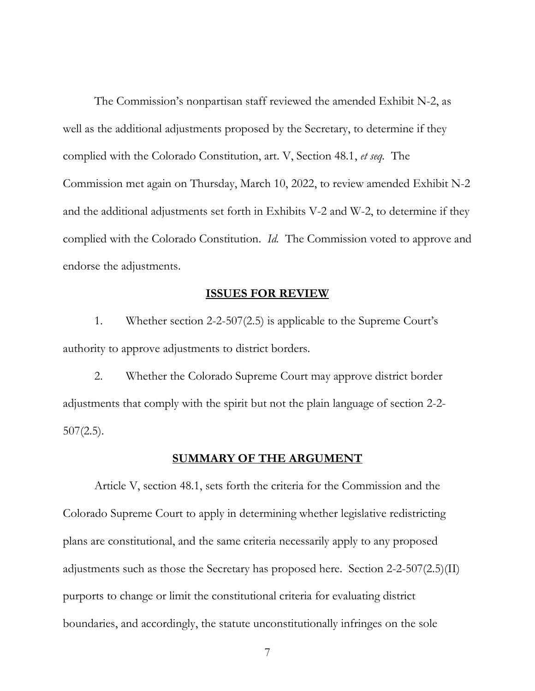The Commission's nonpartisan staff reviewed the amended Exhibit N-2, as well as the additional adjustments proposed by the Secretary, to determine if they complied with the Colorado Constitution, art. V, Section 48.1, *et seq.* The Commission met again on Thursday, March 10, 2022, to review amended Exhibit N-2 and the additional adjustments set forth in Exhibits V-2 and W-2, to determine if they complied with the Colorado Constitution. *Id.* The Commission voted to approve and endorse the adjustments.

#### **ISSUES FOR REVIEW**

1. Whether section 2-2-507(2.5) is applicable to the Supreme Court's authority to approve adjustments to district borders.

2. Whether the Colorado Supreme Court may approve district border adjustments that comply with the spirit but not the plain language of section 2-2-  $507(2.5)$ .

#### **SUMMARY OF THE ARGUMENT**

Article V, section 48.1, sets forth the criteria for the Commission and the Colorado Supreme Court to apply in determining whether legislative redistricting plans are constitutional, and the same criteria necessarily apply to any proposed adjustments such as those the Secretary has proposed here. Section 2-2-507(2.5)(II) purports to change or limit the constitutional criteria for evaluating district boundaries, and accordingly, the statute unconstitutionally infringes on the sole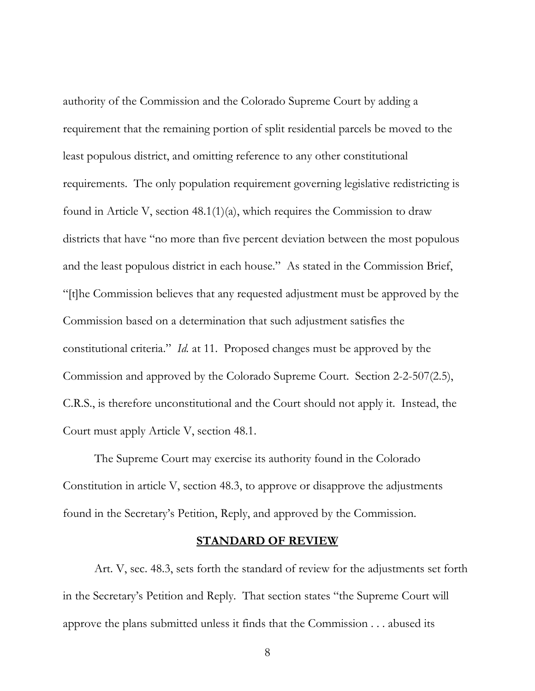authority of the Commission and the Colorado Supreme Court by adding a requirement that the remaining portion of split residential parcels be moved to the least populous district, and omitting reference to any other constitutional requirements. The only population requirement governing legislative redistricting is found in Article V, section 48.1(1)(a), which requires the Commission to draw districts that have "no more than five percent deviation between the most populous and the least populous district in each house." As stated in the Commission Brief, "[t]he Commission believes that any requested adjustment must be approved by the Commission based on a determination that such adjustment satisfies the constitutional criteria." *Id.* at 11. Proposed changes must be approved by the Commission and approved by the Colorado Supreme Court. Section 2-2-507(2.5), C.R.S., is therefore unconstitutional and the Court should not apply it. Instead, the Court must apply Article V, section 48.1.

The Supreme Court may exercise its authority found in the Colorado Constitution in article V, section 48.3, to approve or disapprove the adjustments found in the Secretary's Petition, Reply, and approved by the Commission.

#### **STANDARD OF REVIEW**

Art. V, sec. 48.3, sets forth the standard of review for the adjustments set forth in the Secretary's Petition and Reply. That section states "the Supreme Court will approve the plans submitted unless it finds that the Commission . . . abused its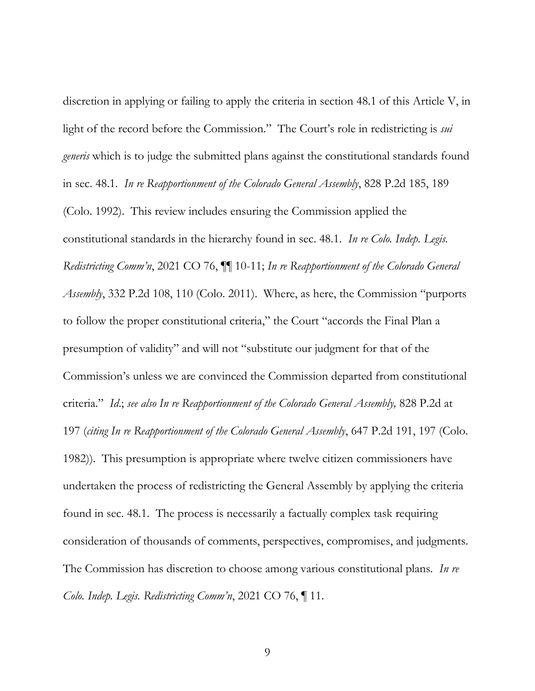discretion in applying or failing to apply the criteria in section 48.1 of this Article V, in light of the record before the Commission." The Court's role in redistricting is *sui generis* which is to judge the submitted plans against the constitutional standards found in sec. 48.1. *In re Reapportionment of the Colorado General Assembly*, 828 P.2d 185, 189 (Colo. 1992). This review includes ensuring the Commission applied the constitutional standards in the hierarchy found in sec. 48.1. *In re Colo. Indep. Legis. Redistricting Comm'n*, 2021 CO 76, ¶¶ 10-11; *In re Reapportionment of the Colorado General Assembly*, 332 P.2d 108, 110 (Colo. 2011). Where, as here, the Commission "purports to follow the proper constitutional criteria," the Court "accords the Final Plan a presumption of validity" and will not "substitute our judgment for that of the Commission's unless we are convinced the Commission departed from constitutional criteria." *Id*.; *see also In re Reapportionment of the Colorado General Assembly,* 828 P.2d at 197 (*citing In re Reapportionment of the Colorado General Assembly*, 647 P.2d 191, 197 (Colo. 1982)). This presumption is appropriate where twelve citizen commissioners have undertaken the process of redistricting the General Assembly by applying the criteria found in sec. 48.1. The process is necessarily a factually complex task requiring consideration of thousands of comments, perspectives, compromises, and judgments. The Commission has discretion to choose among various constitutional plans. *In re Colo. Indep. Legis. Redistricting Comm'n*, 2021 CO 76, ¶ 11.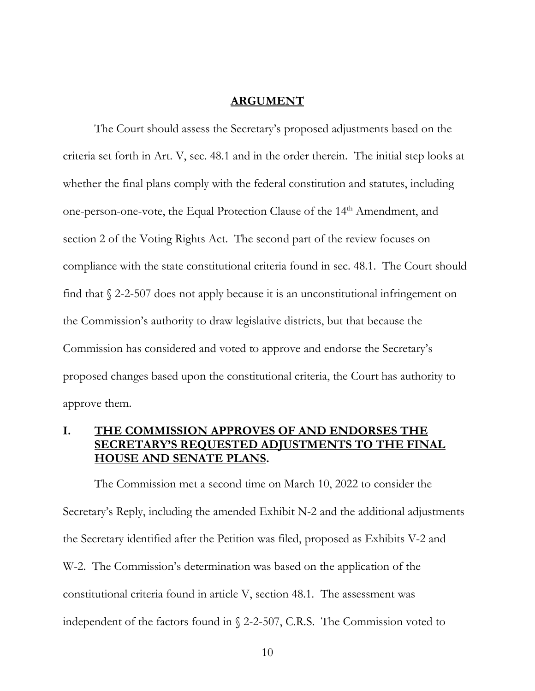#### **ARGUMENT**

The Court should assess the Secretary's proposed adjustments based on the criteria set forth in Art. V, sec. 48.1 and in the order therein. The initial step looks at whether the final plans comply with the federal constitution and statutes, including one-person-one-vote, the Equal Protection Clause of the 14th Amendment, and section 2 of the Voting Rights Act. The second part of the review focuses on compliance with the state constitutional criteria found in sec. 48.1. The Court should find that § 2-2-507 does not apply because it is an unconstitutional infringement on the Commission's authority to draw legislative districts, but that because the Commission has considered and voted to approve and endorse the Secretary's proposed changes based upon the constitutional criteria, the Court has authority to approve them.

### **I. THE COMMISSION APPROVES OF AND ENDORSES THE RETARY'S REQUESTED ADJUSTMENTS TO THE FINAL HOUSE AND SENATE PLANS.**

The Commission met a second time on March 10, 2022 to consider the Secretary's Reply, including the amended Exhibit N-2 and the additional adjustments the Secretary identified after the Petition was filed, proposed as Exhibits V-2 and W-2. The Commission's determination was based on the application of the constitutional criteria found in article V, section 48.1. The assessment was independent of the factors found in § 2-2-507, C.R.S. The Commission voted to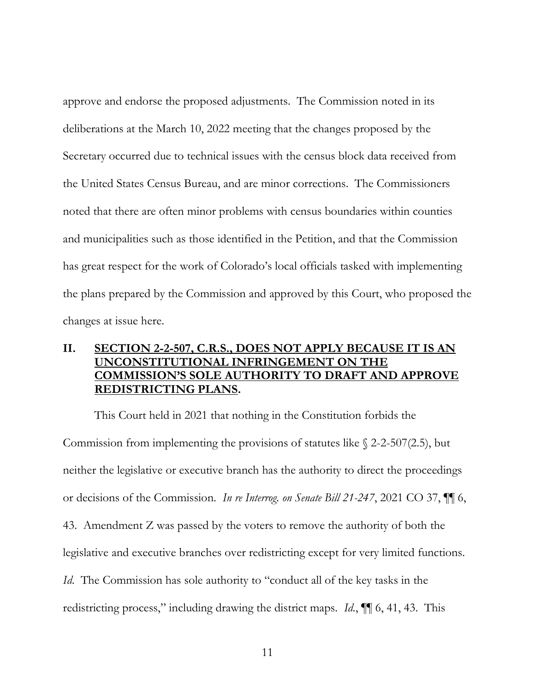approve and endorse the proposed adjustments. The Commission noted in its deliberations at the March 10, 2022 meeting that the changes proposed by the Secretary occurred due to technical issues with the census block data received from the United States Census Bureau, and are minor corrections. The Commissioners noted that there are often minor problems with census boundaries within counties and municipalities such as those identified in the Petition, and that the Commission has great respect for the work of Colorado's local officials tasked with implementing the plans prepared by the Commission and approved by this Court, who proposed the changes at issue here.

## **II. SECTION 2-2-507, C.R.S., DOES NOT APPLY BECAUSE IT IS AN UNCONSTITUTIONAL INFRINGEMENT ON THE COMMISSION'S SOLE AUTHORITY TO DRAFT AND APPROVE REDISTRICTING PLANS.**

This Court held in 2021 that nothing in the Constitution forbids the Commission from implementing the provisions of statutes like  $\S$  2-2-507(2.5), but neither the legislative or executive branch has the authority to direct the proceedings or decisions of the Commission. *In re Interrog. on Senate Bill 21-247*, 2021 CO 37, ¶¶ 6, 43. Amendment Z was passed by the voters to remove the authority of both the legislative and executive branches over redistricting except for very limited functions. *Id*. The Commission has sole authority to "conduct all of the key tasks in the redistricting process," including drawing the district maps. *Id.*, ¶¶ 6, 41, 43. This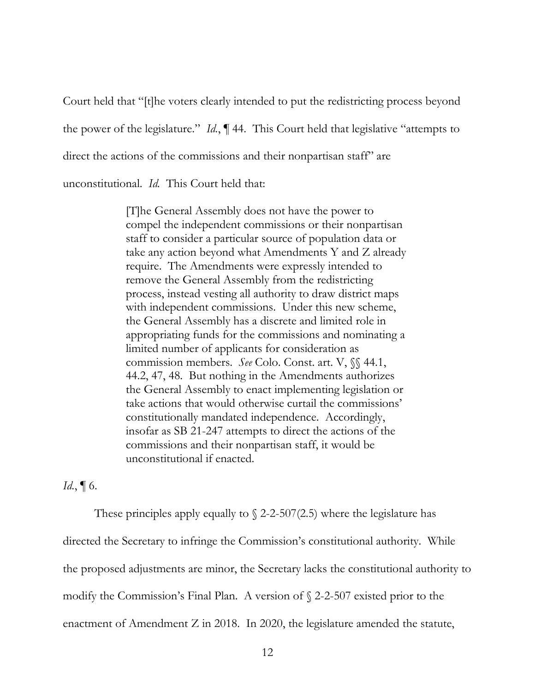Court held that "[t]he voters clearly intended to put the redistricting process beyond the power of the legislature." *Id.*, ¶ 44. This Court held that legislative "attempts to direct the actions of the commissions and their nonpartisan staff" are unconstitutional. *Id.* This Court held that:

> [T]he General Assembly does not have the power to compel the independent commissions or their nonpartisan staff to consider a particular source of population data or take any action beyond what Amendments Y and Z already require. The Amendments were expressly intended to remove the General Assembly from the redistricting process, instead vesting all authority to draw district maps with independent commissions. Under this new scheme, the General Assembly has a discrete and limited role in appropriating funds for the commissions and nominating a limited number of applicants for consideration as commission members. *See* Colo. Const. art. V, §§ 44.1, 44.2, 47, 48. But nothing in the Amendments authorizes the General Assembly to enact implementing legislation or take actions that would otherwise curtail the commissions' constitutionally mandated independence. Accordingly, insofar as SB 21-247 attempts to direct the actions of the commissions and their nonpartisan staff, it would be unconstitutional if enacted.

### *Id.*, ¶ 6.

These principles apply equally to  $\S$  2-2-507(2.5) where the legislature has directed the Secretary to infringe the Commission's constitutional authority. While the proposed adjustments are minor, the Secretary lacks the constitutional authority to modify the Commission's Final Plan. A version of § 2-2-507 existed prior to the enactment of Amendment Z in 2018. In 2020, the legislature amended the statute,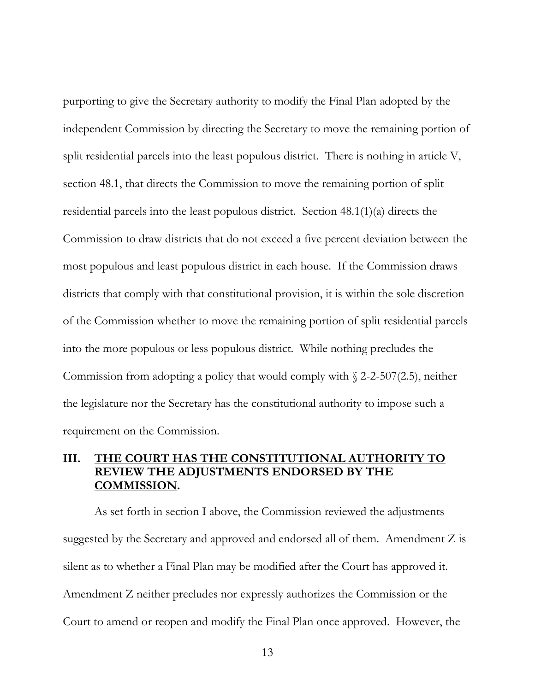purporting to give the Secretary authority to modify the Final Plan adopted by the independent Commission by directing the Secretary to move the remaining portion of split residential parcels into the least populous district. There is nothing in article V, section 48.1, that directs the Commission to move the remaining portion of split residential parcels into the least populous district. Section 48.1(1)(a) directs the Commission to draw districts that do not exceed a five percent deviation between the most populous and least populous district in each house. If the Commission draws districts that comply with that constitutional provision, it is within the sole discretion of the Commission whether to move the remaining portion of split residential parcels into the more populous or less populous district. While nothing precludes the Commission from adopting a policy that would comply with  $\sqrt{2}$ -2-507(2.5), neither the legislature nor the Secretary has the constitutional authority to impose such a requirement on the Commission.

## **III. THE COURT HAS THE CONSTITUTIONAL AUTHORITY TO REVIEW THE ADJUSTMENTS ENDORSED BY THE COMMISSION.**

As set forth in section I above, the Commission reviewed the adjustments suggested by the Secretary and approved and endorsed all of them. Amendment Z is silent as to whether a Final Plan may be modified after the Court has approved it. Amendment Z neither precludes nor expressly authorizes the Commission or the Court to amend or reopen and modify the Final Plan once approved. However, the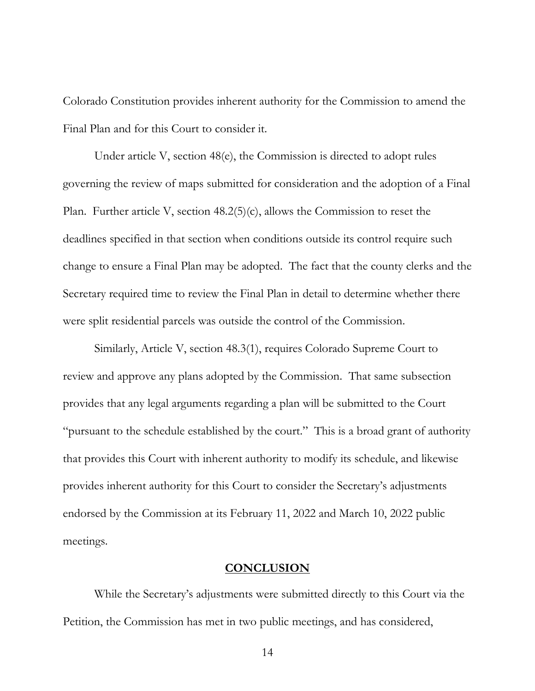Colorado Constitution provides inherent authority for the Commission to amend the Final Plan and for this Court to consider it.

Under article V, section 48(e), the Commission is directed to adopt rules governing the review of maps submitted for consideration and the adoption of a Final Plan. Further article V, section 48.2(5)(c), allows the Commission to reset the deadlines specified in that section when conditions outside its control require such change to ensure a Final Plan may be adopted. The fact that the county clerks and the Secretary required time to review the Final Plan in detail to determine whether there were split residential parcels was outside the control of the Commission.

Similarly, Article V, section 48.3(1), requires Colorado Supreme Court to review and approve any plans adopted by the Commission. That same subsection provides that any legal arguments regarding a plan will be submitted to the Court "pursuant to the schedule established by the court." This is a broad grant of authority that provides this Court with inherent authority to modify its schedule, and likewise provides inherent authority for this Court to consider the Secretary's adjustments endorsed by the Commission at its February 11, 2022 and March 10, 2022 public meetings.

#### **CONCLUSION**

While the Secretary's adjustments were submitted directly to this Court via the Petition, the Commission has met in two public meetings, and has considered,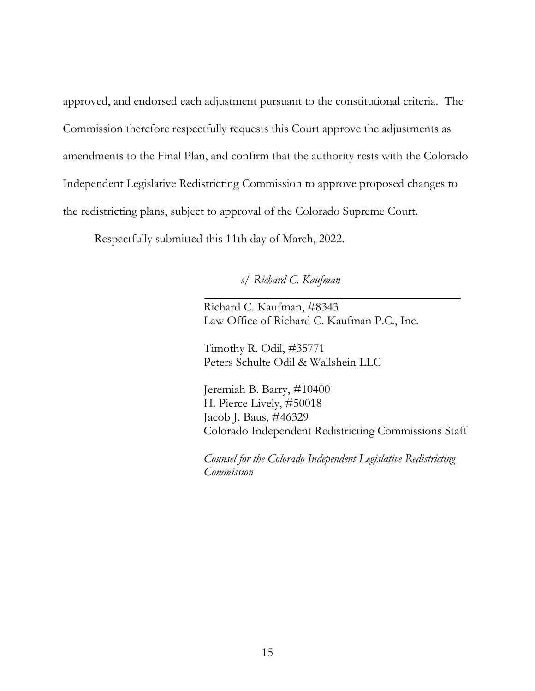approved, and endorsed each adjustment pursuant to the constitutional criteria. The Commission therefore respectfully requests this Court approve the adjustments as amendments to the Final Plan, and confirm that the authority rests with the Colorado Independent Legislative Redistricting Commission to approve proposed changes to the redistricting plans, subject to approval of the Colorado Supreme Court.

Respectfully submitted this 11th day of March, 2022.

*s/ Richard C. Kaufman*

Richard C. Kaufman, #8343 Law Office of Richard C. Kaufman P.C., Inc.

Timothy R. Odil, #35771 Peters Schulte Odil & Wallshein LLC

Jeremiah B. Barry, #10400 H. Pierce Lively, #50018 Jacob J. Baus, #46329 Colorado Independent Redistricting Commissions Staff

*Counsel for the Colorado Independent Legislative Redistricting Commission*